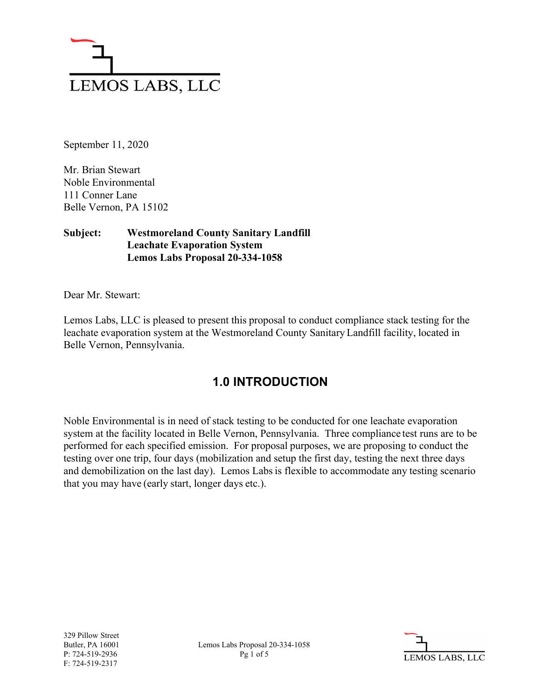

September 11, 2020

Mr. Brian Stewart Noble Environmental 111 Conner Lane Belle Vernon, PA 15102

#### **Subject: Westmoreland County Sanitary Landfill Leachate Evaporation System Lemos Labs Proposal 20-334-1058**

Dear Mr. Stewart:

Lemos Labs, LLC is pleased to present this proposal to conduct compliance stack testing for the leachate evaporation system at the Westmoreland County Sanitary Landfill facility, located in Belle Vernon, Pennsylvania.

### **1.0 INTRODUCTION**

Noble Environmental is in need of stack testing to be conducted for one leachate evaporation system at the facility located in Belle Vernon, Pennsylvania. Three compliance test runs are to be performed for each specified emission. For proposal purposes, we are proposing to conduct the testing over one trip, four days (mobilization and setup the first day, testing the next three days and demobilization on the last day). Lemos Labs is flexible to accommodate any testing scenario that you may have (early start, longer days etc.).

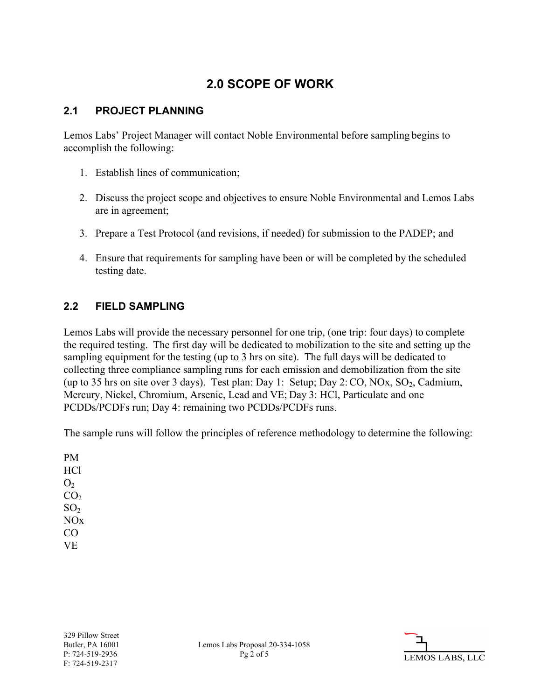# **2.0 SCOPE OF WORK**

#### **2.1 PROJECT PLANNING**

Lemos Labs' Project Manager will contact Noble Environmental before sampling begins to accomplish the following:

- 1. Establish lines of communication;
- 2. Discuss the project scope and objectives to ensure Noble Environmental and Lemos Labs are in agreement;
- 3. Prepare a Test Protocol (and revisions, if needed) for submission to the PADEP; and
- 4. Ensure that requirements for sampling have been or will be completed by the scheduled testing date.

#### **2.2 FIELD SAMPLING**

Lemos Labs will provide the necessary personnel for one trip, (one trip: four days) to complete the required testing. The first day will be dedicated to mobilization to the site and setting up the sampling equipment for the testing (up to 3 hrs on site). The full days will be dedicated to collecting three compliance sampling runs for each emission and demobilization from the site (up to 35 hrs on site over 3 days). Test plan: Day 1: Setup; Day 2: CO, NOx,  $SO_2$ , Cadmium, Mercury, Nickel, Chromium, Arsenic, Lead and VE; Day 3: HCl, Particulate and one PCDDs/PCDFs run; Day 4: remaining two PCDDs/PCDFs runs.

The sample runs will follow the principles of reference methodology to determine the following:

PM HCl  $O<sub>2</sub>$  $CO<sub>2</sub>$  $SO<sub>2</sub>$ NOx CO VE

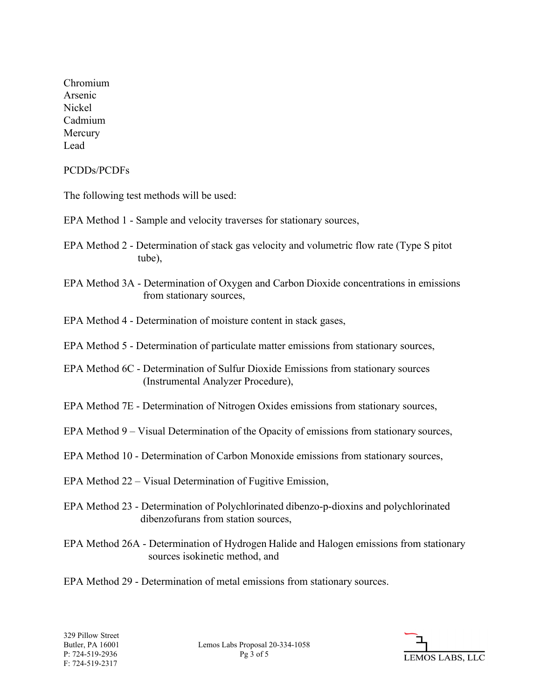Chromium Arsenic Nickel Cadmium **Mercury** Lead

PCDDs/PCDFs

The following test methods will be used:

EPA Method 1 - Sample and velocity traverses for stationary sources,

- EPA Method 2 Determination of stack gas velocity and volumetric flow rate (Type S pitot tube),
- EPA Method 3A Determination of Oxygen and Carbon Dioxide concentrations in emissions from stationary sources,
- EPA Method 4 Determination of moisture content in stack gases,

EPA Method 5 - Determination of particulate matter emissions from stationary sources,

EPA Method 6C - Determination of Sulfur Dioxide Emissions from stationary sources (Instrumental Analyzer Procedure),

EPA Method 7E - Determination of Nitrogen Oxides emissions from stationary sources,

EPA Method 9 – Visual Determination of the Opacity of emissions from stationary sources,

EPA Method 10 - Determination of Carbon Monoxide emissions from stationary sources,

- EPA Method 22 Visual Determination of Fugitive Emission,
- EPA Method 23 Determination of Polychlorinated dibenzo-p-dioxins and polychlorinated dibenzofurans from station sources,

EPA Method 26A - Determination of Hydrogen Halide and Halogen emissions from stationary sources isokinetic method, and

EPA Method 29 - Determination of metal emissions from stationary sources.